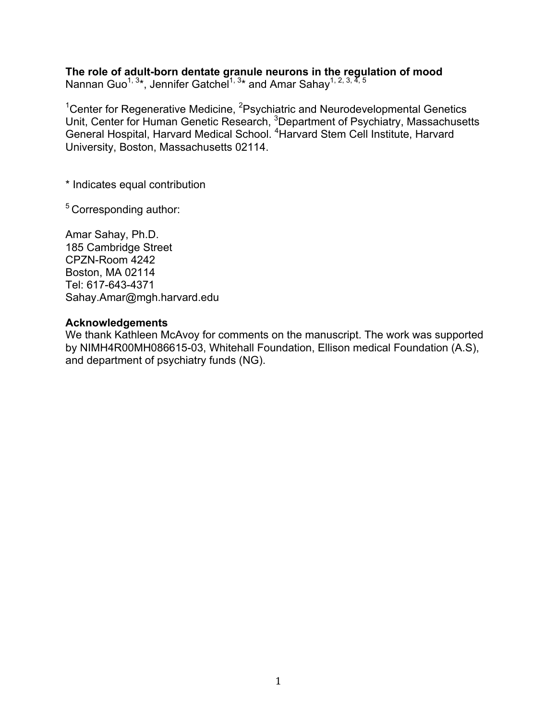# **The role of adult-born dentate granule neurons in the regulation of mood**

Nannan Guo<sup>1, 3</sup>\*, Jennifer Gatchel<sup>1, 3</sup>\* and Amar Sahay<sup>1, 2, 3, 4, 5</sup>

<sup>1</sup> Center for Regenerative Medicine, <sup>2</sup> Psychiatric and Neurodevelopmental Genetics Unit, Center for Human Genetic Research, <sup>3</sup>Department of Psychiatry, Massachusetts General Hospital, Harvard Medical School. <sup>4</sup> Harvard Stem Cell Institute, Harvard University, Boston, Massachusetts 02114.

\* Indicates equal contribution

5 Corresponding author:

Amar Sahay, Ph.D. 185 Cambridge Street CPZN-Room 4242 Boston, MA 02114 Tel: 617-643-4371 Sahay.Amar@mgh.harvard.edu

#### **Acknowledgements**

We thank Kathleen McAvoy for comments on the manuscript. The work was supported by NIMH4R00MH086615-03, Whitehall Foundation, Ellison medical Foundation (A.S), and department of psychiatry funds (NG).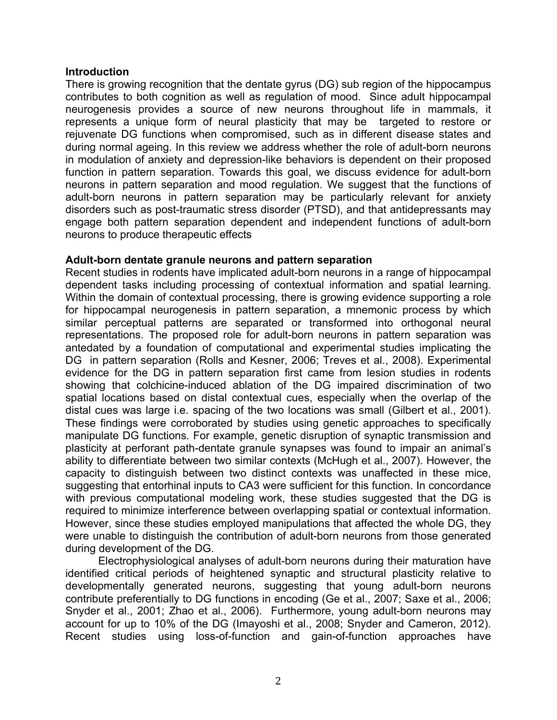### **Introduction**

There is growing recognition that the dentate gyrus (DG) sub region of the hippocampus contributes to both cognition as well as regulation of mood. Since adult hippocampal neurogenesis provides a source of new neurons throughout life in mammals, it represents a unique form of neural plasticity that may be targeted to restore or rejuvenate DG functions when compromised, such as in different disease states and during normal ageing. In this review we address whether the role of adult-born neurons in modulation of anxiety and depression-like behaviors is dependent on their proposed function in pattern separation. Towards this goal, we discuss evidence for adult-born neurons in pattern separation and mood regulation. We suggest that the functions of adult-born neurons in pattern separation may be particularly relevant for anxiety disorders such as post-traumatic stress disorder (PTSD), and that antidepressants may engage both pattern separation dependent and independent functions of adult-born neurons to produce therapeutic effects

## **Adult-born dentate granule neurons and pattern separation**

Recent studies in rodents have implicated adult-born neurons in a range of hippocampal dependent tasks including processing of contextual information and spatial learning. Within the domain of contextual processing, there is growing evidence supporting a role for hippocampal neurogenesis in pattern separation, a mnemonic process by which similar perceptual patterns are separated or transformed into orthogonal neural representations. The proposed role for adult-born neurons in pattern separation was antedated by a foundation of computational and experimental studies implicating the DG in pattern separation (Rolls and Kesner, 2006; Treves et al., 2008). Experimental evidence for the DG in pattern separation first came from lesion studies in rodents showing that colchicine-induced ablation of the DG impaired discrimination of two spatial locations based on distal contextual cues, especially when the overlap of the distal cues was large i.e. spacing of the two locations was small (Gilbert et al., 2001). These findings were corroborated by studies using genetic approaches to specifically manipulate DG functions. For example, genetic disruption of synaptic transmission and plasticity at perforant path-dentate granule synapses was found to impair an animal's ability to differentiate between two similar contexts (McHugh et al., 2007). However, the capacity to distinguish between two distinct contexts was unaffected in these mice, suggesting that entorhinal inputs to CA3 were sufficient for this function. In concordance with previous computational modeling work, these studies suggested that the DG is required to minimize interference between overlapping spatial or contextual information. However, since these studies employed manipulations that affected the whole DG, they were unable to distinguish the contribution of adult-born neurons from those generated during development of the DG.

Electrophysiological analyses of adult-born neurons during their maturation have identified critical periods of heightened synaptic and structural plasticity relative to developmentally generated neurons, suggesting that young adult-born neurons contribute preferentially to DG functions in encoding (Ge et al., 2007; Saxe et al., 2006; Snyder et al., 2001; Zhao et al., 2006). Furthermore, young adult-born neurons may account for up to 10% of the DG (Imayoshi et al., 2008; Snyder and Cameron, 2012). Recent studies using loss-of-function and gain-of-function approaches have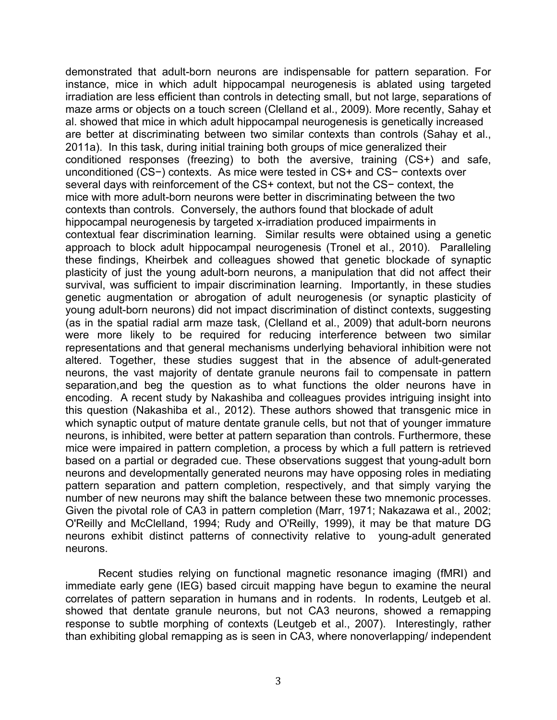demonstrated that adult-born neurons are indispensable for pattern separation. For instance, mice in which adult hippocampal neurogenesis is ablated using targeted irradiation are less efficient than controls in detecting small, but not large, separations of maze arms or objects on a touch screen (Clelland et al., 2009). More recently, Sahay et al. showed that mice in which adult hippocampal neurogenesis is genetically increased are better at discriminating between two similar contexts than controls (Sahay et al., 2011a). In this task, during initial training both groups of mice generalized their conditioned responses (freezing) to both the aversive, training (CS+) and safe, unconditioned (CS−) contexts. As mice were tested in CS+ and CS− contexts over several days with reinforcement of the CS+ context, but not the CS− context, the mice with more adult-born neurons were better in discriminating between the two contexts than controls. Conversely, the authors found that blockade of adult hippocampal neurogenesis by targeted x-irradiation produced impairments in contextual fear discrimination learning. Similar results were obtained using a genetic approach to block adult hippocampal neurogenesis (Tronel et al., 2010). Paralleling these findings, Kheirbek and colleagues showed that genetic blockade of synaptic plasticity of just the young adult-born neurons, a manipulation that did not affect their survival, was sufficient to impair discrimination learning. Importantly, in these studies genetic augmentation or abrogation of adult neurogenesis (or synaptic plasticity of young adult-born neurons) did not impact discrimination of distinct contexts, suggesting (as in the spatial radial arm maze task, (Clelland et al., 2009) that adult-born neurons were more likely to be required for reducing interference between two similar representations and that general mechanisms underlying behavioral inhibition were not altered. Together, these studies suggest that in the absence of adult-generated neurons, the vast majority of dentate granule neurons fail to compensate in pattern separation,and beg the question as to what functions the older neurons have in encoding. A recent study by Nakashiba and colleagues provides intriguing insight into this question (Nakashiba et al., 2012). These authors showed that transgenic mice in which synaptic output of mature dentate granule cells, but not that of younger immature neurons, is inhibited, were better at pattern separation than controls. Furthermore, these mice were impaired in pattern completion, a process by which a full pattern is retrieved based on a partial or degraded cue. These observations suggest that young-adult born neurons and developmentally generated neurons may have opposing roles in mediating pattern separation and pattern completion, respectively, and that simply varying the number of new neurons may shift the balance between these two mnemonic processes. Given the pivotal role of CA3 in pattern completion (Marr, 1971; Nakazawa et al., 2002; O'Reilly and McClelland, 1994; Rudy and O'Reilly, 1999), it may be that mature DG neurons exhibit distinct patterns of connectivity relative to young-adult generated neurons.

Recent studies relying on functional magnetic resonance imaging (fMRI) and immediate early gene (IEG) based circuit mapping have begun to examine the neural correlates of pattern separation in humans and in rodents. In rodents, Leutgeb et al. showed that dentate granule neurons, but not CA3 neurons, showed a remapping response to subtle morphing of contexts (Leutgeb et al., 2007). Interestingly, rather than exhibiting global remapping as is seen in CA3, where nonoverlapping/ independent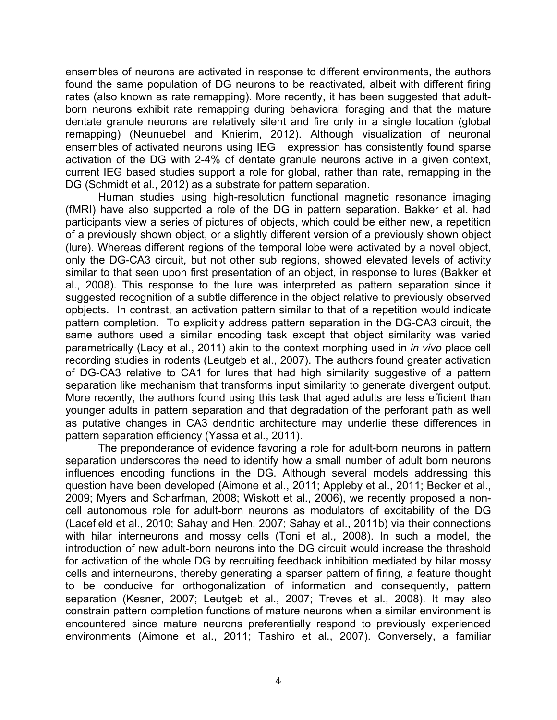ensembles of neurons are activated in response to different environments, the authors found the same population of DG neurons to be reactivated, albeit with different firing rates (also known as rate remapping). More recently, it has been suggested that adultborn neurons exhibit rate remapping during behavioral foraging and that the mature dentate granule neurons are relatively silent and fire only in a single location (global remapping) (Neunuebel and Knierim, 2012). Although visualization of neuronal ensembles of activated neurons using IEG expression has consistently found sparse activation of the DG with 2-4% of dentate granule neurons active in a given context, current IEG based studies support a role for global, rather than rate, remapping in the DG (Schmidt et al., 2012) as a substrate for pattern separation.

Human studies using high-resolution functional magnetic resonance imaging (fMRI) have also supported a role of the DG in pattern separation. Bakker et al. had participants view a series of pictures of objects, which could be either new, a repetition of a previously shown object, or a slightly different version of a previously shown object (lure). Whereas different regions of the temporal lobe were activated by a novel object, only the DG-CA3 circuit, but not other sub regions, showed elevated levels of activity similar to that seen upon first presentation of an object, in response to lures (Bakker et al., 2008). This response to the lure was interpreted as pattern separation since it suggested recognition of a subtle difference in the object relative to previously observed opbjects. In contrast, an activation pattern similar to that of a repetition would indicate pattern completion. To explicitly address pattern separation in the DG-CA3 circuit, the same authors used a similar encoding task except that object similarity was varied parametrically (Lacy et al., 2011) akin to the context morphing used in *in vivo* place cell recording studies in rodents (Leutgeb et al., 2007). The authors found greater activation of DG-CA3 relative to CA1 for lures that had high similarity suggestive of a pattern separation like mechanism that transforms input similarity to generate divergent output. More recently, the authors found using this task that aged adults are less efficient than younger adults in pattern separation and that degradation of the perforant path as well as putative changes in CA3 dendritic architecture may underlie these differences in pattern separation efficiency (Yassa et al., 2011).

The preponderance of evidence favoring a role for adult-born neurons in pattern separation underscores the need to identify how a small number of adult born neurons influences encoding functions in the DG. Although several models addressing this question have been developed (Aimone et al., 2011; Appleby et al., 2011; Becker et al., 2009; Myers and Scharfman, 2008; Wiskott et al., 2006), we recently proposed a noncell autonomous role for adult-born neurons as modulators of excitability of the DG (Lacefield et al., 2010; Sahay and Hen, 2007; Sahay et al., 2011b) via their connections with hilar interneurons and mossy cells (Toni et al., 2008). In such a model, the introduction of new adult-born neurons into the DG circuit would increase the threshold for activation of the whole DG by recruiting feedback inhibition mediated by hilar mossy cells and interneurons, thereby generating a sparser pattern of firing, a feature thought to be conducive for orthogonalization of information and consequently, pattern separation (Kesner, 2007; Leutgeb et al., 2007; Treves et al., 2008). It may also constrain pattern completion functions of mature neurons when a similar environment is encountered since mature neurons preferentially respond to previously experienced environments (Aimone et al., 2011; Tashiro et al., 2007). Conversely, a familiar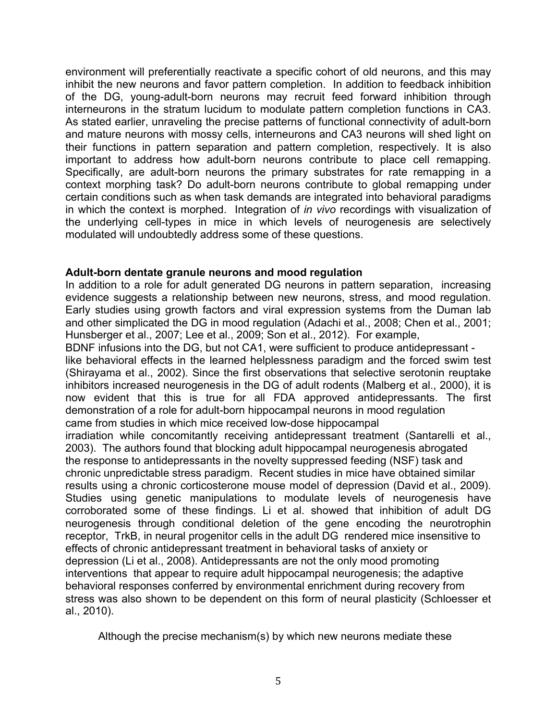environment will preferentially reactivate a specific cohort of old neurons, and this may inhibit the new neurons and favor pattern completion. In addition to feedback inhibition of the DG, young-adult-born neurons may recruit feed forward inhibition through interneurons in the stratum lucidum to modulate pattern completion functions in CA3. As stated earlier, unraveling the precise patterns of functional connectivity of adult-born and mature neurons with mossy cells, interneurons and CA3 neurons will shed light on their functions in pattern separation and pattern completion, respectively. It is also important to address how adult-born neurons contribute to place cell remapping. Specifically, are adult-born neurons the primary substrates for rate remapping in a context morphing task? Do adult-born neurons contribute to global remapping under certain conditions such as when task demands are integrated into behavioral paradigms in which the context is morphed. Integration of *in vivo* recordings with visualization of the underlying cell-types in mice in which levels of neurogenesis are selectively modulated will undoubtedly address some of these questions.

# **Adult-born dentate granule neurons and mood regulation**

In addition to a role for adult generated DG neurons in pattern separation, increasing evidence suggests a relationship between new neurons, stress, and mood regulation. Early studies using growth factors and viral expression systems from the Duman lab and other simplicated the DG in mood regulation (Adachi et al., 2008; Chen et al., 2001; Hunsberger et al., 2007; Lee et al., 2009; Son et al., 2012). For example,

BDNF infusions into the DG, but not CA1, were sufficient to produce antidepressant like behavioral effects in the learned helplessness paradigm and the forced swim test (Shirayama et al., 2002). Since the first observations that selective serotonin reuptake inhibitors increased neurogenesis in the DG of adult rodents (Malberg et al., 2000), it is now evident that this is true for all FDA approved antidepressants. The first demonstration of a role for adult-born hippocampal neurons in mood regulation came from studies in which mice received low-dose hippocampal

irradiation while concomitantly receiving antidepressant treatment (Santarelli et al., 2003). The authors found that blocking adult hippocampal neurogenesis abrogated the response to antidepressants in the novelty suppressed feeding (NSF) task and chronic unpredictable stress paradigm. Recent studies in mice have obtained similar results using a chronic corticosterone mouse model of depression (David et al., 2009). Studies using genetic manipulations to modulate levels of neurogenesis have corroborated some of these findings. Li et al. showed that inhibition of adult DG neurogenesis through conditional deletion of the gene encoding the neurotrophin receptor, TrkB, in neural progenitor cells in the adult DG rendered mice insensitive to effects of chronic antidepressant treatment in behavioral tasks of anxiety or depression (Li et al., 2008). Antidepressants are not the only mood promoting interventions that appear to require adult hippocampal neurogenesis; the adaptive behavioral responses conferred by environmental enrichment during recovery from stress was also shown to be dependent on this form of neural plasticity (Schloesser et al., 2010).

Although the precise mechanism(s) by which new neurons mediate these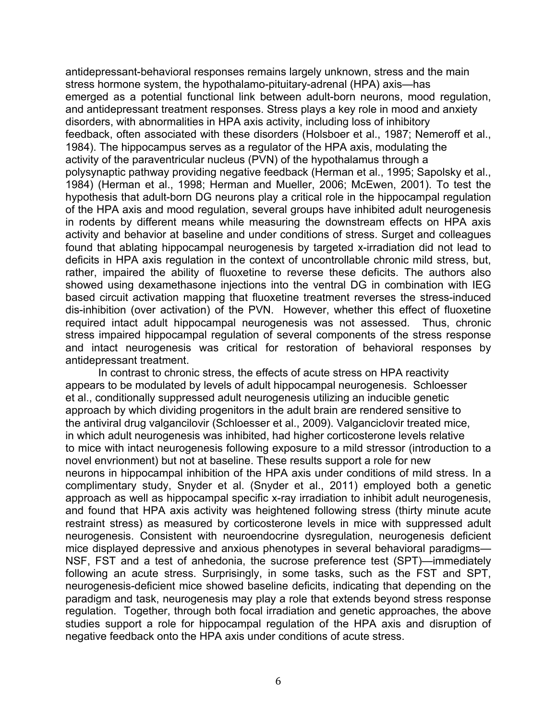antidepressant-behavioral responses remains largely unknown, stress and the main stress hormone system, the hypothalamo-pituitary-adrenal (HPA) axis—has emerged as a potential functional link between adult-born neurons, mood regulation, and antidepressant treatment responses. Stress plays a key role in mood and anxiety disorders, with abnormalities in HPA axis activity, including loss of inhibitory feedback, often associated with these disorders (Holsboer et al., 1987; Nemeroff et al., 1984). The hippocampus serves as a regulator of the HPA axis, modulating the activity of the paraventricular nucleus (PVN) of the hypothalamus through a polysynaptic pathway providing negative feedback (Herman et al., 1995; Sapolsky et al., 1984) (Herman et al., 1998; Herman and Mueller, 2006; McEwen, 2001). To test the hypothesis that adult-born DG neurons play a critical role in the hippocampal regulation of the HPA axis and mood regulation, several groups have inhibited adult neurogenesis in rodents by different means while measuring the downstream effects on HPA axis activity and behavior at baseline and under conditions of stress. Surget and colleagues found that ablating hippocampal neurogenesis by targeted x-irradiation did not lead to deficits in HPA axis regulation in the context of uncontrollable chronic mild stress, but, rather, impaired the ability of fluoxetine to reverse these deficits. The authors also showed using dexamethasone injections into the ventral DG in combination with IEG based circuit activation mapping that fluoxetine treatment reverses the stress-induced dis-inhibition (over activation) of the PVN. However, whether this effect of fluoxetine required intact adult hippocampal neurogenesis was not assessed. Thus, chronic stress impaired hippocampal regulation of several components of the stress response and intact neurogenesis was critical for restoration of behavioral responses by antidepressant treatment.

In contrast to chronic stress, the effects of acute stress on HPA reactivity appears to be modulated by levels of adult hippocampal neurogenesis. Schloesser et al., conditionally suppressed adult neurogenesis utilizing an inducible genetic approach by which dividing progenitors in the adult brain are rendered sensitive to the antiviral drug valgancilovir (Schloesser et al., 2009). Valganciclovir treated mice, in which adult neurogenesis was inhibited, had higher corticosterone levels relative to mice with intact neurogenesis following exposure to a mild stressor (introduction to a novel envrionment) but not at baseline. These results support a role for new neurons in hippocampal inhibition of the HPA axis under conditions of mild stress. In a complimentary study, Snyder et al. (Snyder et al., 2011) employed both a genetic approach as well as hippocampal specific x-ray irradiation to inhibit adult neurogenesis, and found that HPA axis activity was heightened following stress (thirty minute acute restraint stress) as measured by corticosterone levels in mice with suppressed adult neurogenesis. Consistent with neuroendocrine dysregulation, neurogenesis deficient mice displayed depressive and anxious phenotypes in several behavioral paradigms— NSF, FST and a test of anhedonia, the sucrose preference test (SPT)—immediately following an acute stress. Surprisingly, in some tasks, such as the FST and SPT, neurogenesis-deficient mice showed baseline deficits, indicating that depending on the paradigm and task, neurogenesis may play a role that extends beyond stress response regulation. Together, through both focal irradiation and genetic approaches, the above studies support a role for hippocampal regulation of the HPA axis and disruption of negative feedback onto the HPA axis under conditions of acute stress.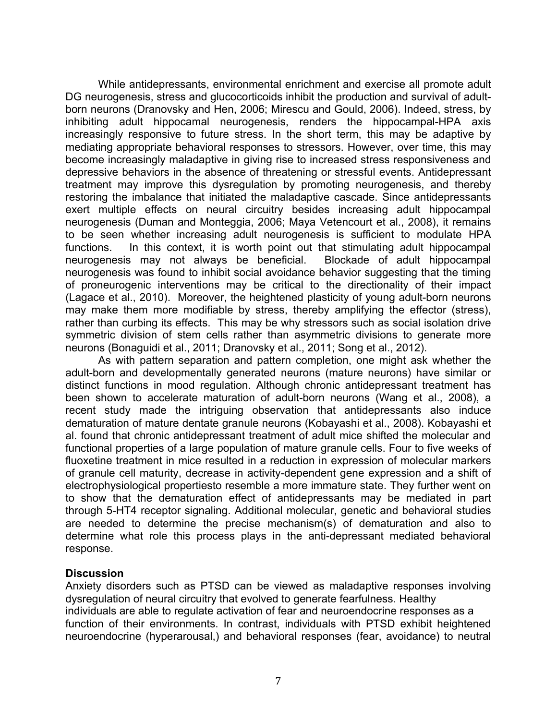While antidepressants, environmental enrichment and exercise all promote adult DG neurogenesis, stress and glucocorticoids inhibit the production and survival of adultborn neurons (Dranovsky and Hen, 2006; Mirescu and Gould, 2006). Indeed, stress, by inhibiting adult hippocamal neurogenesis, renders the hippocampal-HPA axis increasingly responsive to future stress. In the short term, this may be adaptive by mediating appropriate behavioral responses to stressors. However, over time, this may become increasingly maladaptive in giving rise to increased stress responsiveness and depressive behaviors in the absence of threatening or stressful events. Antidepressant treatment may improve this dysregulation by promoting neurogenesis, and thereby restoring the imbalance that initiated the maladaptive cascade. Since antidepressants exert multiple effects on neural circuitry besides increasing adult hippocampal neurogenesis (Duman and Monteggia, 2006; Maya Vetencourt et al., 2008), it remains to be seen whether increasing adult neurogenesis is sufficient to modulate HPA functions. In this context, it is worth point out that stimulating adult hippocampal neurogenesis may not always be beneficial. Blockade of adult hippocampal neurogenesis was found to inhibit social avoidance behavior suggesting that the timing of proneurogenic interventions may be critical to the directionality of their impact (Lagace et al., 2010). Moreover, the heightened plasticity of young adult-born neurons may make them more modifiable by stress, thereby amplifying the effector (stress), rather than curbing its effects. This may be why stressors such as social isolation drive symmetric division of stem cells rather than asymmetric divisions to generate more neurons (Bonaguidi et al., 2011; Dranovsky et al., 2011; Song et al., 2012).

As with pattern separation and pattern completion, one might ask whether the adult-born and developmentally generated neurons (mature neurons) have similar or distinct functions in mood regulation. Although chronic antidepressant treatment has been shown to accelerate maturation of adult-born neurons (Wang et al., 2008), a recent study made the intriguing observation that antidepressants also induce dematuration of mature dentate granule neurons (Kobayashi et al., 2008). Kobayashi et al. found that chronic antidepressant treatment of adult mice shifted the molecular and functional properties of a large population of mature granule cells. Four to five weeks of fluoxetine treatment in mice resulted in a reduction in expression of molecular markers of granule cell maturity, decrease in activity-dependent gene expression and a shift of electrophysiological propertiesto resemble a more immature state. They further went on to show that the dematuration effect of antidepressants may be mediated in part through 5-HT4 receptor signaling. Additional molecular, genetic and behavioral studies are needed to determine the precise mechanism(s) of dematuration and also to determine what role this process plays in the anti-depressant mediated behavioral response.

#### **Discussion**

Anxiety disorders such as PTSD can be viewed as maladaptive responses involving dysregulation of neural circuitry that evolved to generate fearfulness. Healthy individuals are able to regulate activation of fear and neuroendocrine responses as a function of their environments. In contrast, individuals with PTSD exhibit heightened neuroendocrine (hyperarousal,) and behavioral responses (fear, avoidance) to neutral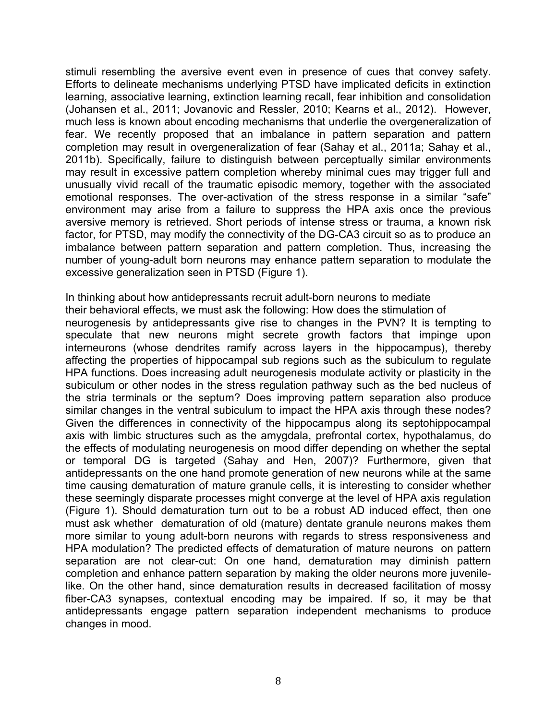stimuli resembling the aversive event even in presence of cues that convey safety. Efforts to delineate mechanisms underlying PTSD have implicated deficits in extinction learning, associative learning, extinction learning recall, fear inhibition and consolidation (Johansen et al., 2011; Jovanovic and Ressler, 2010; Kearns et al., 2012). However, much less is known about encoding mechanisms that underlie the overgeneralization of fear. We recently proposed that an imbalance in pattern separation and pattern completion may result in overgeneralization of fear (Sahay et al., 2011a; Sahay et al., 2011b). Specifically, failure to distinguish between perceptually similar environments may result in excessive pattern completion whereby minimal cues may trigger full and unusually vivid recall of the traumatic episodic memory, together with the associated emotional responses. The over-activation of the stress response in a similar "safe" environment may arise from a failure to suppress the HPA axis once the previous aversive memory is retrieved. Short periods of intense stress or trauma, a known risk factor, for PTSD, may modify the connectivity of the DG-CA3 circuit so as to produce an imbalance between pattern separation and pattern completion. Thus, increasing the number of young-adult born neurons may enhance pattern separation to modulate the excessive generalization seen in PTSD (Figure 1).

In thinking about how antidepressants recruit adult-born neurons to mediate their behavioral effects, we must ask the following: How does the stimulation of neurogenesis by antidepressants give rise to changes in the PVN? It is tempting to speculate that new neurons might secrete growth factors that impinge upon interneurons (whose dendrites ramify across layers in the hippocampus), thereby affecting the properties of hippocampal sub regions such as the subiculum to regulate HPA functions. Does increasing adult neurogenesis modulate activity or plasticity in the subiculum or other nodes in the stress regulation pathway such as the bed nucleus of the stria terminals or the septum? Does improving pattern separation also produce similar changes in the ventral subiculum to impact the HPA axis through these nodes? Given the differences in connectivity of the hippocampus along its septohippocampal axis with limbic structures such as the amygdala, prefrontal cortex, hypothalamus, do the effects of modulating neurogenesis on mood differ depending on whether the septal or temporal DG is targeted (Sahay and Hen, 2007)? Furthermore, given that antidepressants on the one hand promote generation of new neurons while at the same time causing dematuration of mature granule cells, it is interesting to consider whether these seemingly disparate processes might converge at the level of HPA axis regulation (Figure 1). Should dematuration turn out to be a robust AD induced effect, then one must ask whether dematuration of old (mature) dentate granule neurons makes them more similar to young adult-born neurons with regards to stress responsiveness and HPA modulation? The predicted effects of dematuration of mature neurons on pattern separation are not clear-cut: On one hand, dematuration may diminish pattern completion and enhance pattern separation by making the older neurons more juvenilelike. On the other hand, since dematuration results in decreased facilitation of mossy fiber-CA3 synapses, contextual encoding may be impaired. If so, it may be that antidepressants engage pattern separation independent mechanisms to produce changes in mood.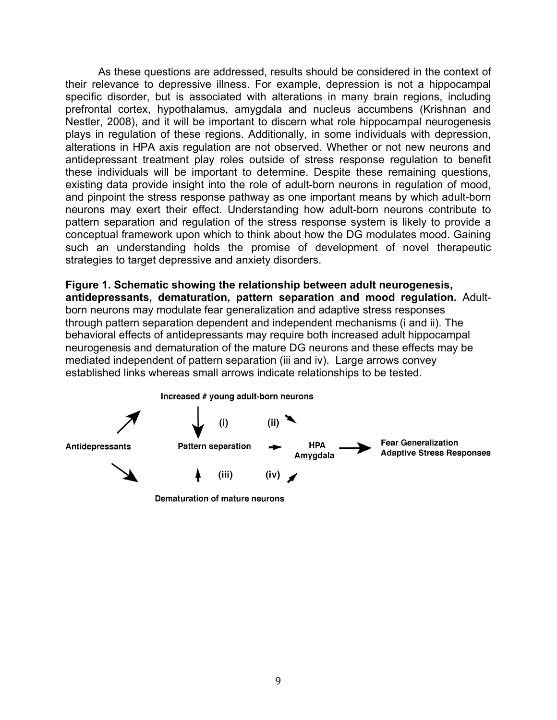As these questions are addressed, results should be considered in the context of their relevance to depressive illness. For example, depression is not a hippocampal specific disorder, but is associated with alterations in many brain regions, including prefrontal cortex, hypothalamus, amygdala and nucleus accumbens (Krishnan and Nestler, 2008), and it will be important to discern what role hippocampal neurogenesis plays in regulation of these regions. Additionally, in some individuals with depression, alterations in HPA axis regulation are not observed. Whether or not new neurons and antidepressant treatment play roles outside of stress response regulation to benefit these individuals will be important to determine. Despite these remaining questions, existing data provide insight into the role of adult-born neurons in regulation of mood, and pinpoint the stress response pathway as one important means by which adult-born neurons may exert their effect. Understanding how adult-born neurons contribute to pattern separation and regulation of the stress response system is likely to provide a conceptual framework upon which to think about how the DG modulates mood. Gaining such an understanding holds the promise of development of novel therapeutic strategies to target depressive and anxiety disorders.

**Figure 1. Schematic showing the relationship between adult neurogenesis, antidepressants, dematuration, pattern separation and mood regulation.** Adultborn neurons may modulate fear generalization and adaptive stress responses through pattern separation dependent and independent mechanisms (i and ii). The behavioral effects of antidepressants may require both increased adult hippocampal neurogenesis and dematuration of the mature DG neurons and these effects may be mediated independent of pattern separation (iii and iv). Large arrows convey established links whereas small arrows indicate relationships to be tested.



Dematuration of mature neurons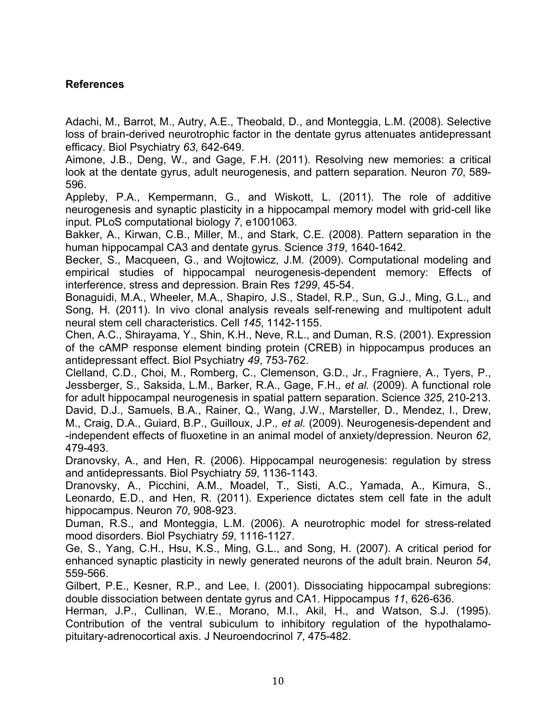# **References**

Adachi, M., Barrot, M., Autry, A.E., Theobald, D., and Monteggia, L.M. (2008). Selective loss of brain-derived neurotrophic factor in the dentate gyrus attenuates antidepressant efficacy. Biol Psychiatry *63*, 642-649.

Aimone, J.B., Deng, W., and Gage, F.H. (2011). Resolving new memories: a critical look at the dentate gyrus, adult neurogenesis, and pattern separation. Neuron *70*, 589- 596.

Appleby, P.A., Kempermann, G., and Wiskott, L. (2011). The role of additive neurogenesis and synaptic plasticity in a hippocampal memory model with grid-cell like input. PLoS computational biology *7*, e1001063.

Bakker, A., Kirwan, C.B., Miller, M., and Stark, C.E. (2008). Pattern separation in the human hippocampal CA3 and dentate gyrus. Science *319*, 1640-1642.

Becker, S., Macqueen, G., and Wojtowicz, J.M. (2009). Computational modeling and empirical studies of hippocampal neurogenesis-dependent memory: Effects of interference, stress and depression. Brain Res *1299*, 45-54.

Bonaguidi, M.A., Wheeler, M.A., Shapiro, J.S., Stadel, R.P., Sun, G.J., Ming, G.L., and Song, H. (2011). In vivo clonal analysis reveals self-renewing and multipotent adult neural stem cell characteristics. Cell *145*, 1142-1155.

Chen, A.C., Shirayama, Y., Shin, K.H., Neve, R.L., and Duman, R.S. (2001). Expression of the cAMP response element binding protein (CREB) in hippocampus produces an antidepressant effect. Biol Psychiatry *49*, 753-762.

Clelland, C.D., Choi, M., Romberg, C., Clemenson, G.D., Jr., Fragniere, A., Tyers, P., Jessberger, S., Saksida, L.M., Barker, R.A., Gage, F.H.*, et al.* (2009). A functional role for adult hippocampal neurogenesis in spatial pattern separation. Science *325*, 210-213. David, D.J., Samuels, B.A., Rainer, Q., Wang, J.W., Marsteller, D., Mendez, I., Drew, M., Craig, D.A., Guiard, B.P., Guilloux, J.P.*, et al.* (2009). Neurogenesis-dependent and -independent effects of fluoxetine in an animal model of anxiety/depression. Neuron *62*, 479-493.

Dranovsky, A., and Hen, R. (2006). Hippocampal neurogenesis: regulation by stress and antidepressants. Biol Psychiatry *59*, 1136-1143.

Dranovsky, A., Picchini, A.M., Moadel, T., Sisti, A.C., Yamada, A., Kimura, S., Leonardo, E.D., and Hen, R. (2011). Experience dictates stem cell fate in the adult hippocampus. Neuron *70*, 908-923.

Duman, R.S., and Monteggia, L.M. (2006). A neurotrophic model for stress-related mood disorders. Biol Psychiatry *59*, 1116-1127.

Ge, S., Yang, C.H., Hsu, K.S., Ming, G.L., and Song, H. (2007). A critical period for enhanced synaptic plasticity in newly generated neurons of the adult brain. Neuron *54*, 559-566.

Gilbert, P.E., Kesner, R.P., and Lee, I. (2001). Dissociating hippocampal subregions: double dissociation between dentate gyrus and CA1. Hippocampus *11*, 626-636.

Herman, J.P., Cullinan, W.E., Morano, M.I., Akil, H., and Watson, S.J. (1995). Contribution of the ventral subiculum to inhibitory regulation of the hypothalamopituitary-adrenocortical axis. J Neuroendocrinol *7*, 475-482.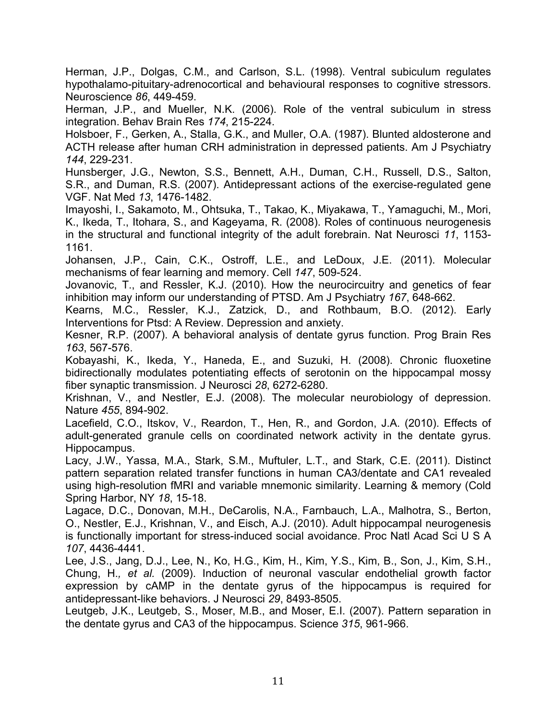Herman, J.P., Dolgas, C.M., and Carlson, S.L. (1998). Ventral subiculum regulates hypothalamo-pituitary-adrenocortical and behavioural responses to cognitive stressors. Neuroscience *86*, 449-459.

Herman, J.P., and Mueller, N.K. (2006). Role of the ventral subiculum in stress integration. Behav Brain Res *174*, 215-224.

Holsboer, F., Gerken, A., Stalla, G.K., and Muller, O.A. (1987). Blunted aldosterone and ACTH release after human CRH administration in depressed patients. Am J Psychiatry *144*, 229-231.

Hunsberger, J.G., Newton, S.S., Bennett, A.H., Duman, C.H., Russell, D.S., Salton, S.R., and Duman, R.S. (2007). Antidepressant actions of the exercise-regulated gene VGF. Nat Med *13*, 1476-1482.

Imayoshi, I., Sakamoto, M., Ohtsuka, T., Takao, K., Miyakawa, T., Yamaguchi, M., Mori, K., Ikeda, T., Itohara, S., and Kageyama, R. (2008). Roles of continuous neurogenesis in the structural and functional integrity of the adult forebrain. Nat Neurosci *11*, 1153- 1161.

Johansen, J.P., Cain, C.K., Ostroff, L.E., and LeDoux, J.E. (2011). Molecular mechanisms of fear learning and memory. Cell *147*, 509-524.

Jovanovic, T., and Ressler, K.J. (2010). How the neurocircuitry and genetics of fear inhibition may inform our understanding of PTSD. Am J Psychiatry *167*, 648-662.

Kearns, M.C., Ressler, K.J., Zatzick, D., and Rothbaum, B.O. (2012). Early Interventions for Ptsd: A Review. Depression and anxiety.

Kesner, R.P. (2007). A behavioral analysis of dentate gyrus function. Prog Brain Res *163*, 567-576.

Kobayashi, K., Ikeda, Y., Haneda, E., and Suzuki, H. (2008). Chronic fluoxetine bidirectionally modulates potentiating effects of serotonin on the hippocampal mossy fiber synaptic transmission. J Neurosci *28*, 6272-6280.

Krishnan, V., and Nestler, E.J. (2008). The molecular neurobiology of depression. Nature *455*, 894-902.

Lacefield, C.O., Itskov, V., Reardon, T., Hen, R., and Gordon, J.A. (2010). Effects of adult-generated granule cells on coordinated network activity in the dentate gyrus. Hippocampus.

Lacy, J.W., Yassa, M.A., Stark, S.M., Muftuler, L.T., and Stark, C.E. (2011). Distinct pattern separation related transfer functions in human CA3/dentate and CA1 revealed using high-resolution fMRI and variable mnemonic similarity. Learning & memory (Cold Spring Harbor, NY *18*, 15-18.

Lagace, D.C., Donovan, M.H., DeCarolis, N.A., Farnbauch, L.A., Malhotra, S., Berton, O., Nestler, E.J., Krishnan, V., and Eisch, A.J. (2010). Adult hippocampal neurogenesis is functionally important for stress-induced social avoidance. Proc Natl Acad Sci U S A *107*, 4436-4441.

Lee, J.S., Jang, D.J., Lee, N., Ko, H.G., Kim, H., Kim, Y.S., Kim, B., Son, J., Kim, S.H., Chung, H.*, et al.* (2009). Induction of neuronal vascular endothelial growth factor expression by cAMP in the dentate gyrus of the hippocampus is required for antidepressant-like behaviors. J Neurosci *29*, 8493-8505.

Leutgeb, J.K., Leutgeb, S., Moser, M.B., and Moser, E.I. (2007). Pattern separation in the dentate gyrus and CA3 of the hippocampus. Science *315*, 961-966.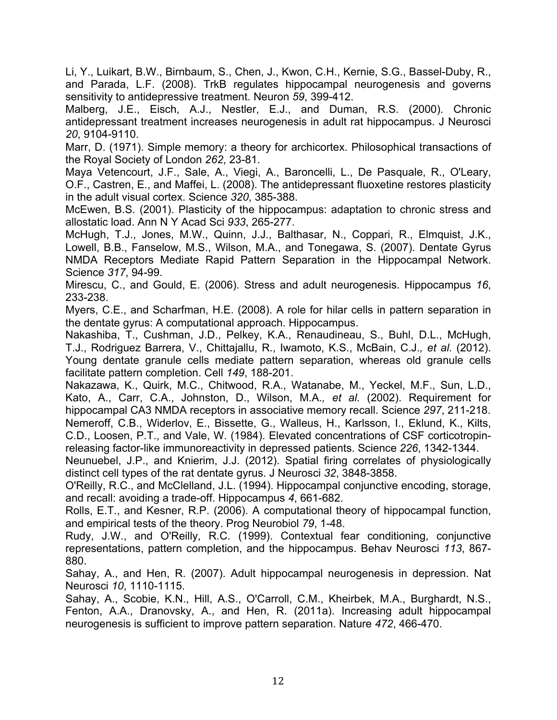Li, Y., Luikart, B.W., Birnbaum, S., Chen, J., Kwon, C.H., Kernie, S.G., Bassel-Duby, R., and Parada, L.F. (2008). TrkB regulates hippocampal neurogenesis and governs sensitivity to antidepressive treatment. Neuron *59*, 399-412.

Malberg, J.E., Eisch, A.J., Nestler, E.J., and Duman, R.S. (2000). Chronic antidepressant treatment increases neurogenesis in adult rat hippocampus. J Neurosci *20*, 9104-9110.

Marr, D. (1971). Simple memory: a theory for archicortex. Philosophical transactions of the Royal Society of London *262*, 23-81.

Maya Vetencourt, J.F., Sale, A., Viegi, A., Baroncelli, L., De Pasquale, R., O'Leary, O.F., Castren, E., and Maffei, L. (2008). The antidepressant fluoxetine restores plasticity in the adult visual cortex. Science *320*, 385-388.

McEwen, B.S. (2001). Plasticity of the hippocampus: adaptation to chronic stress and allostatic load. Ann N Y Acad Sci *933*, 265-277.

McHugh, T.J., Jones, M.W., Quinn, J.J., Balthasar, N., Coppari, R., Elmquist, J.K., Lowell, B.B., Fanselow, M.S., Wilson, M.A., and Tonegawa, S. (2007). Dentate Gyrus NMDA Receptors Mediate Rapid Pattern Separation in the Hippocampal Network. Science *317*, 94-99.

Mirescu, C., and Gould, E. (2006). Stress and adult neurogenesis. Hippocampus *16*, 233-238.

Myers, C.E., and Scharfman, H.E. (2008). A role for hilar cells in pattern separation in the dentate gyrus: A computational approach. Hippocampus.

Nakashiba, T., Cushman, J.D., Pelkey, K.A., Renaudineau, S., Buhl, D.L., McHugh, T.J., Rodriguez Barrera, V., Chittajallu, R., Iwamoto, K.S., McBain, C.J.*, et al.* (2012). Young dentate granule cells mediate pattern separation, whereas old granule cells facilitate pattern completion. Cell *149*, 188-201.

Nakazawa, K., Quirk, M.C., Chitwood, R.A., Watanabe, M., Yeckel, M.F., Sun, L.D., Kato, A., Carr, C.A., Johnston, D., Wilson, M.A.*, et al.* (2002). Requirement for hippocampal CA3 NMDA receptors in associative memory recall. Science *297*, 211-218. Nemeroff, C.B., Widerlov, E., Bissette, G., Walleus, H., Karlsson, I., Eklund, K., Kilts, C.D., Loosen, P.T., and Vale, W. (1984). Elevated concentrations of CSF corticotropinreleasing factor-like immunoreactivity in depressed patients. Science *226*, 1342-1344.

Neunuebel, J.P., and Knierim, J.J. (2012). Spatial firing correlates of physiologically distinct cell types of the rat dentate gyrus. J Neurosci *32*, 3848-3858.

O'Reilly, R.C., and McClelland, J.L. (1994). Hippocampal conjunctive encoding, storage, and recall: avoiding a trade-off. Hippocampus *4*, 661-682.

Rolls, E.T., and Kesner, R.P. (2006). A computational theory of hippocampal function, and empirical tests of the theory. Prog Neurobiol *79*, 1-48.

Rudy, J.W., and O'Reilly, R.C. (1999). Contextual fear conditioning, conjunctive representations, pattern completion, and the hippocampus. Behav Neurosci *113*, 867- 880.

Sahay, A., and Hen, R. (2007). Adult hippocampal neurogenesis in depression. Nat Neurosci *10*, 1110-1115.

Sahay, A., Scobie, K.N., Hill, A.S., O'Carroll, C.M., Kheirbek, M.A., Burghardt, N.S., Fenton, A.A., Dranovsky, A., and Hen, R. (2011a). Increasing adult hippocampal neurogenesis is sufficient to improve pattern separation. Nature *472*, 466-470.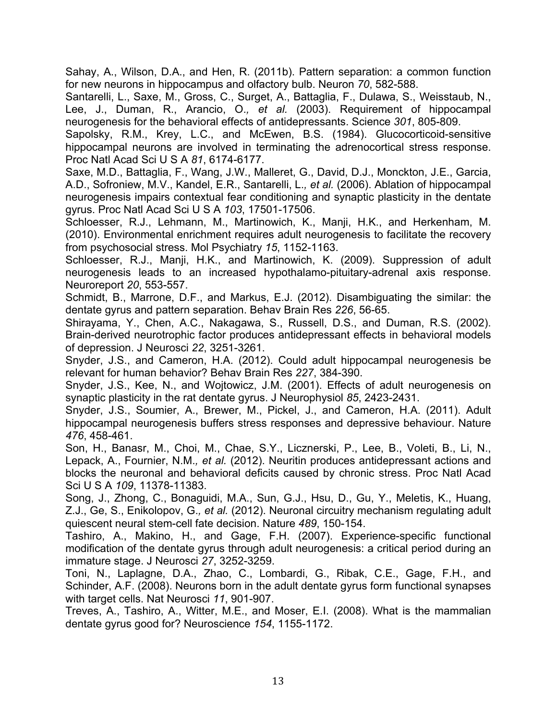Sahay, A., Wilson, D.A., and Hen, R. (2011b). Pattern separation: a common function for new neurons in hippocampus and olfactory bulb. Neuron *70*, 582-588.

Santarelli, L., Saxe, M., Gross, C., Surget, A., Battaglia, F., Dulawa, S., Weisstaub, N., Lee, J., Duman, R., Arancio, O.*, et al.* (2003). Requirement of hippocampal neurogenesis for the behavioral effects of antidepressants. Science *301*, 805-809.

Sapolsky, R.M., Krey, L.C., and McEwen, B.S. (1984). Glucocorticoid-sensitive hippocampal neurons are involved in terminating the adrenocortical stress response. Proc Natl Acad Sci U S A *81*, 6174-6177.

Saxe, M.D., Battaglia, F., Wang, J.W., Malleret, G., David, D.J., Monckton, J.E., Garcia, A.D., Sofroniew, M.V., Kandel, E.R., Santarelli, L.*, et al.* (2006). Ablation of hippocampal neurogenesis impairs contextual fear conditioning and synaptic plasticity in the dentate gyrus. Proc Natl Acad Sci U S A *103*, 17501-17506.

Schloesser, R.J., Lehmann, M., Martinowich, K., Manji, H.K., and Herkenham, M. (2010). Environmental enrichment requires adult neurogenesis to facilitate the recovery from psychosocial stress. Mol Psychiatry *15*, 1152-1163.

Schloesser, R.J., Manji, H.K., and Martinowich, K. (2009). Suppression of adult neurogenesis leads to an increased hypothalamo-pituitary-adrenal axis response. Neuroreport *20*, 553-557.

Schmidt, B., Marrone, D.F., and Markus, E.J. (2012). Disambiguating the similar: the dentate gyrus and pattern separation. Behav Brain Res *226*, 56-65.

Shirayama, Y., Chen, A.C., Nakagawa, S., Russell, D.S., and Duman, R.S. (2002). Brain-derived neurotrophic factor produces antidepressant effects in behavioral models of depression. J Neurosci *22*, 3251-3261.

Snyder, J.S., and Cameron, H.A. (2012). Could adult hippocampal neurogenesis be relevant for human behavior? Behav Brain Res *227*, 384-390.

Snyder, J.S., Kee, N., and Wojtowicz, J.M. (2001). Effects of adult neurogenesis on synaptic plasticity in the rat dentate gyrus. J Neurophysiol *85*, 2423-2431.

Snyder, J.S., Soumier, A., Brewer, M., Pickel, J., and Cameron, H.A. (2011). Adult hippocampal neurogenesis buffers stress responses and depressive behaviour. Nature *476*, 458-461.

Son, H., Banasr, M., Choi, M., Chae, S.Y., Licznerski, P., Lee, B., Voleti, B., Li, N., Lepack, A., Fournier, N.M.*, et al.* (2012). Neuritin produces antidepressant actions and blocks the neuronal and behavioral deficits caused by chronic stress. Proc Natl Acad Sci U S A *109*, 11378-11383.

Song, J., Zhong, C., Bonaguidi, M.A., Sun, G.J., Hsu, D., Gu, Y., Meletis, K., Huang, Z.J., Ge, S., Enikolopov, G.*, et al.* (2012). Neuronal circuitry mechanism regulating adult quiescent neural stem-cell fate decision. Nature *489*, 150-154.

Tashiro, A., Makino, H., and Gage, F.H. (2007). Experience-specific functional modification of the dentate gyrus through adult neurogenesis: a critical period during an immature stage. J Neurosci *27*, 3252-3259.

Toni, N., Laplagne, D.A., Zhao, C., Lombardi, G., Ribak, C.E., Gage, F.H., and Schinder, A.F. (2008). Neurons born in the adult dentate gyrus form functional synapses with target cells. Nat Neurosci *11*, 901-907.

Treves, A., Tashiro, A., Witter, M.E., and Moser, E.I. (2008). What is the mammalian dentate gyrus good for? Neuroscience *154*, 1155-1172.